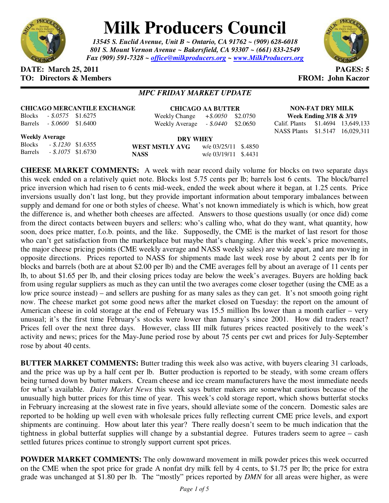

## **Milk Producers Council**

*13545 S. Euclid Avenue, Unit B ~ Ontario, CA 91762 ~ (909) 628-6018 801 S. Mount Vernon Avenue ~ Bakersfield, CA 93307 ~ (661) 833-2549 Fax (909) 591-7328 ~ office@milkproducers.org ~ www.MilkProducers.org*



## **DATE:** March 25, 2011 **PAGES:** 5 **TO: Directors & Members TO: Piccore All Members FROM: John Kaczor**

## *MPC FRIDAY MARKET UPDATE*

| <b>Blocks</b>  | - \$.0575  | \$1.6275 |
|----------------|------------|----------|
| <b>Barrels</b> | $-.5,0600$ | \$1.6400 |

**CHICAGO AA BUTTER** Weekly Change *+\$.0050* \$2.0750 Weekly Average *- \$.0440* \$2.0650

**NON-FAT DRY MILK Week Ending 3/18 & 3/19**  Calif. Plants \$1.4694 13,649,133 NASS Plants \$1.5147 16,029,311

**Weekly Average**

Blocks *- \$.1230* \$1.6355 Barrels *- \$.1075* \$1.6730

**DRY WHEY WEST MSTLY AVG** w/e 03/25/11 \$.4850 **NASS** w/e 03/19/11 \$.4431

**CHEESE MARKET COMMENTS:** A week with near record daily volume for blocks on two separate days this week ended on a relatively quiet note. Blocks lost 5.75 cents per lb; barrels lost 6 cents. The block/barrel price inversion which had risen to 6 cents mid-week, ended the week about where it began, at 1.25 cents. Price inversions usually don't last long, but they provide important information about temporary imbalances between supply and demand for one or both styles of cheese. What's not known immediately is which is which, how great the difference is, and whether both cheeses are affected. Answers to those questions usually (or once did) come from the direct contacts between buyers and sellers: who's calling who, what do they want, what quantity, how soon, does price matter, f.o.b. points, and the like. Supposedly, the CME is the market of last resort for those who can't get satisfaction from the marketplace but maybe that's changing. After this week's price movements, the major cheese pricing points (CME weekly average and NASS weekly sales) are wide apart, and are moving in opposite directions. Prices reported to NASS for shipments made last week rose by about 2 cents per lb for blocks and barrels (both are at about \$2.00 per lb) and the CME averages fell by about an average of 11 cents per lb, to about \$1.65 per lb, and their closing prices today are below the week's averages. Buyers are holding back from using regular suppliers as much as they can until the two averages come closer together (using the CME as a low price source instead) – and sellers are pushing for as many sales as they can get. It's not smooth going right now. The cheese market got some good news after the market closed on Tuesday: the report on the amount of American cheese in cold storage at the end of February was 15.5 million lbs lower than a month earlier – very unusual; it's the first time February's stocks were lower than January's since 2001. How did traders react? Prices fell over the next three days. However, class III milk futures prices reacted positively to the week's activity and news; prices for the May-June period rose by about 75 cents per cwt and prices for July-September rose by about 40 cents.

**BUTTER MARKET COMMENTS:** Butter trading this week also was active, with buyers clearing 31 carloads, and the price was up by a half cent per lb. Butter production is reported to be steady, with some cream offers being turned down by butter makers. Cream cheese and ice cream manufacturers have the most immediate needs for what's available. *Dairy Market News* this week says butter makers are somewhat cautious because of the unusually high butter prices for this time of year. This week's cold storage report, which shows butterfat stocks in February increasing at the slowest rate in five years, should alleviate some of the concern. Domestic sales are reported to be holding up well even with wholesale prices fully reflecting current CME price levels, and export shipments are continuing. How about later this year? There really doesn't seem to be much indication that the tightness in global butterfat supplies will change by a substantial degree. Futures traders seem to agree – cash settled futures prices continue to strongly support current spot prices.

**POWDER MARKET COMMENTS:** The only downward movement in milk powder prices this week occurred on the CME when the spot price for grade A nonfat dry milk fell by 4 cents, to \$1.75 per lb; the price for extra grade was unchanged at \$1.80 per lb. The "mostly" prices reported by *DMN* for all areas were higher, as were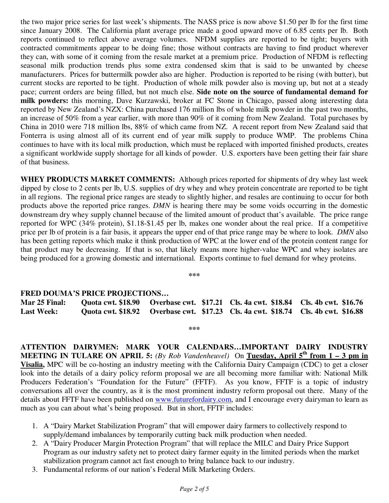the two major price series for last week's shipments. The NASS price is now above \$1.50 per lb for the first time since January 2008. The California plant average price made a good upward move of 6.85 cents per lb. Both reports continued to reflect above average volumes. NFDM supplies are reported to be tight; buyers with contracted commitments appear to be doing fine; those without contracts are having to find product wherever they can, with some of it coming from the resale market at a premium price. Production of NFDM is reflecting seasonal milk production trends plus some extra condensed skim that is said to be unwanted by cheese manufacturers. Prices for buttermilk powder also are higher. Production is reported to be rising (with butter), but current stocks are reported to be tight. Production of whole milk powder also is moving up, but not at a steady pace; current orders are being filled, but not much else. **Side note on the source of fundamental demand for milk powders:** this morning, Dave Kurzawski, broker at FC Stone in Chicago, passed along interesting data reported by New Zealand's NZX: China purchased 176 million lbs of whole milk powder in the past two months, an increase of 50% from a year earlier, with more than 90% of it coming from New Zealand. Total purchases by China in 2010 were 718 million lbs, 88% of which came from NZ. A recent report from New Zealand said that Fonterra is using almost all of its current end of year milk supply to produce WMP. The problems China continues to have with its local milk production, which must be replaced with imported finished products, creates a significant worldwide supply shortage for all kinds of powder. U.S. exporters have been getting their fair share of that business.

**WHEY PRODUCTS MARKET COMMENTS:** Although prices reported for shipments of dry whey last week dipped by close to 2 cents per lb, U.S. supplies of dry whey and whey protein concentrate are reported to be tight in all regions. The regional price ranges are steady to slightly higher, and resales are continuing to occur for both products above the reported price ranges. *DMN* is hearing there may be some voids occurring in the domestic downstream dry whey supply channel because of the limited amount of product that's available. The price range reported for WPC (34% protein), \$1.18-\$1.45 per lb, makes one wonder about the real price. If a competitive price per lb of protein is a fair basis, it appears the upper end of that price range may be where to look. *DMN* also has been getting reports which make it think production of WPC at the lower end of the protein content range for that product may be decreasing. If that is so, that likely means more higher-value WPC and whey isolates are being produced for a growing domestic and international. Exports continue to fuel demand for whey proteins.

**\*\*\*** 

## **FRED DOUMA'S PRICE PROJECTIONS…**

**Mar 25 Final: Quota cwt. \$18.90 Overbase cwt. \$17.21 Cls. 4a cwt. \$18.84 Cls. 4b cwt. \$16.76 Last Week: Quota cwt. \$18.92 Overbase cwt. \$17.23 Cls. 4a cwt. \$18.74 Cls. 4b cwt. \$16.88** 

**\*\*\*** 

**ATTENTION DAIRYMEN: MARK YOUR CALENDARS…IMPORTANT DAIRY INDUSTRY MEETING IN TULARE ON APRIL 5:** *(By Rob Vandenheuvel)* On Tuesday, April 5<sup>th</sup> from 1 – 3 pm in **Visalia,** MPC will be co-hosting an industry meeting with the California Dairy Campaign (CDC) to get a closer look into the details of a dairy policy reform proposal we are all becoming more familiar with: National Milk Producers Federation's "Foundation for the Future" (FFTF). As you know, FFTF is a topic of industry conversations all over the country, as it is the most prominent industry reform proposal out there. Many of the details about FFTF have been published on www.futurefordairy.com, and I encourage every dairyman to learn as much as you can about what's being proposed. But in short, FFTF includes:

- 1. A "Dairy Market Stabilization Program" that will empower dairy farmers to collectively respond to supply/demand imbalances by temporarily cutting back milk production when needed.
- 2. A "Dairy Producer Margin Protection Program" that will replace the MILC and Dairy Price Support Program as our industry safety net to protect dairy farmer equity in the limited periods when the market stabilization program cannot act fast enough to bring balance back to our industry.
- 3. Fundamental reforms of our nation's Federal Milk Marketing Orders.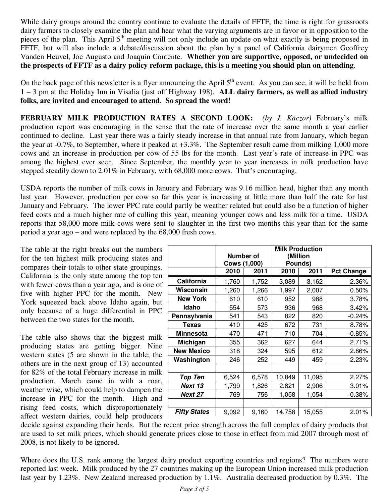While dairy groups around the country continue to evaluate the details of FFTF, the time is right for grassroots dairy farmers to closely examine the plan and hear what the varying arguments are in favor or in opposition to the pieces of the plan. This April 5<sup>th</sup> meeting will not only include an update on what exactly is being proposed in FFTF, but will also include a debate/discussion about the plan by a panel of California dairymen Geoffrey Vanden Heuvel, Joe Augusto and Joaquin Contente. **Whether you are supportive, opposed, or undecided on the prospects of FFTF as a dairy policy reform package, this is a meeting you should plan on attending**.

On the back page of this newsletter is a flyer announcing the April  $5<sup>th</sup>$  event. As you can see, it will be held from 1 – 3 pm at the Holiday Inn in Visalia (just off Highway 198). **ALL dairy farmers, as well as allied industry folks, are invited and encouraged to attend**. **So spread the word!** 

**FEBRUARY MILK PRODUCTION RATES A SECOND LOOK:** *(by J. Kaczor)* February's milk production report was encouraging in the sense that the rate of increase over the same month a year earlier continued to decline. Last year there was a fairly steady increase in that annual rate from January, which began the year at -0.7%, to September, where it peaked at +3.3%. The September result came from milking 1,000 more cows and an increase in production per cow of 55 lbs for the month. Last year's rate of increase in PPC was among the highest ever seen. Since September, the monthly year to year increases in milk production have stepped steadily down to 2.01% in February, with 68,000 more cows. That's encouraging.

USDA reports the number of milk cows in January and February was 9.16 million head, higher than any month last year. However, production per cow so far this year is increasing at little more than half the rate for last January and February. The lower PPC rate could partly be weather related but could also be a function of higher feed costs and a much higher rate of culling this year, meaning younger cows and less milk for a time. USDA reports that 58,000 more milk cows were sent to slaughter in the first two months this year than for the same period a year ago – and were replaced by the 68,000 fresh cows.

The table at the right breaks out the numbers for the ten highest milk producing states and compares their totals to other state groupings. California is the only state among the top ten with fewer cows than a year ago, and is one of five with higher PPC for the month. New York squeezed back above Idaho again, but only because of a huge differential in PPC between the two states for the month.

The table also shows that the biggest milk producing states are getting bigger. Nine western states (5 are shown in the table; the others are in the next group of 13) accounted for 82% of the total February increase in milk production. March came in with a roar, weather wise, which could help to dampen the increase in PPC for the month. High and rising feed costs, which disproportionately affect western dairies, could help producers

|                     | Number of           |       | <b>Milk Production</b><br>(Million |        |                   |
|---------------------|---------------------|-------|------------------------------------|--------|-------------------|
|                     | <b>Cows (1,000)</b> |       | Pounds)                            |        |                   |
|                     | 2010                | 2011  | 2010                               | 2011   | <b>Pct Change</b> |
| California          | 1,760               | 1,752 | 3,089                              | 3,162  | 2.36%             |
| Wisconsin           | 1,260               | 1,266 | 1,997                              | 2,007  | 0.50%             |
| <b>New York</b>     | 610                 | 610   | 952                                | 988    | 3.78%             |
| Idaho               | 554                 | 573   | 936                                | 968    | 3.42%             |
| Pennsylvania        | 541                 | 543   | 822                                | 820    | $-0.24%$          |
| <b>Texas</b>        | 410                 | 425   | 672                                | 731    | 8.78%             |
| <b>Minnesota</b>    | 470                 | 471   | 710                                | 704    | $-0.85%$          |
| Michigan            | 355                 | 362   | 627                                | 644    | 2.71%             |
| <b>New Mexico</b>   | 318                 | 324   | 595                                | 612    | 2.86%             |
| Washington          | 246                 | 252   | 449                                | 459    | 2.23%             |
|                     |                     |       |                                    |        |                   |
| <b>Top Ten</b>      | 6,524               | 6,578 | 10,849                             | 11,095 | $2.27\%$          |
| Next 13             | 1,799               | 1,826 | 2,821                              | 2,906  | 3.01%             |
| Next 27             | 769                 | 756   | 1,058                              | 1,054  | $-0.38%$          |
|                     |                     |       |                                    |        |                   |
| <b>Fifty States</b> | 9,092               | 9,160 | 14,758                             | 15,055 | 2.01%             |

decide against expanding their herds. But the recent price strength across the full complex of dairy products that are used to set milk prices, which should generate prices close to those in effect from mid 2007 through most of 2008, is not likely to be ignored.

Where does the U.S. rank among the largest dairy product exporting countries and regions? The numbers were reported last week. Milk produced by the 27 countries making up the European Union increased milk production last year by 1.23%. New Zealand increased production by 1.1%. Australia decreased production by 0.3%. The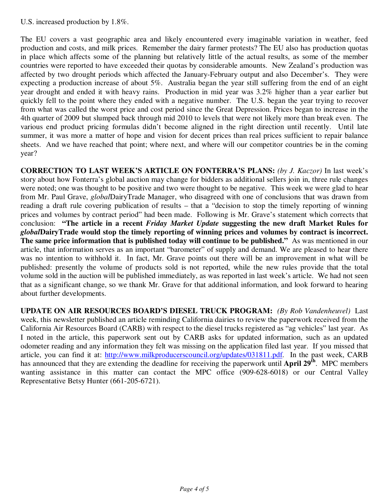U.S. increased production by 1.8%.

The EU covers a vast geographic area and likely encountered every imaginable variation in weather, feed production and costs, and milk prices. Remember the dairy farmer protests? The EU also has production quotas in place which affects some of the planning but relatively little of the actual results, as some of the member countries were reported to have exceeded their quotas by considerable amounts. New Zealand's production was affected by two drought periods which affected the January-February output and also December's. They were expecting a production increase of about 5%. Australia began the year still suffering from the end of an eight year drought and ended it with heavy rains. Production in mid year was 3.2% higher than a year earlier but quickly fell to the point where they ended with a negative number. The U.S. began the year trying to recover from what was called the worst price and cost period since the Great Depression. Prices began to increase in the 4th quarter of 2009 but slumped back through mid 2010 to levels that were not likely more than break even. The various end product pricing formulas didn't become aligned in the right direction until recently. Until late summer, it was more a matter of hope and vision for decent prices than real prices sufficient to repair balance sheets. And we have reached that point; where next, and where will our competitor countries be in the coming year?

**CORRECTION TO LAST WEEK'S ARTICLE ON FONTERRA'S PLANS:** *(by J. Kaczor)* In last week's story about how Fonterra's global auction may change for bidders as additional sellers join in, three rule changes were noted; one was thought to be positive and two were thought to be negative. This week we were glad to hear from Mr. Paul Grave, *global*DairyTrade Manager, who disagreed with one of conclusions that was drawn from reading a draft rule covering publication of results – that a "decision to stop the timely reporting of winning prices and volumes by contract period" had been made. Following is Mr. Grave's statement which corrects that conclusion: **"The article in a recent** *Friday Market Update* **suggesting the new draft Market Rules for**  *global***DairyTrade would stop the timely reporting of winning prices and volumes by contract is incorrect. The same price information that is published today will continue to be published."** As was mentioned in our article, that information serves as an important "barometer" of supply and demand. We are pleased to hear there was no intention to withhold it. In fact, Mr. Grave points out there will be an improvement in what will be published: presently the volume of products sold is not reported, while the new rules provide that the total volume sold in the auction will be published immediately, as was reported in last week's article. We had not seen that as a significant change, so we thank Mr. Grave for that additional information, and look forward to hearing about further developments.

**UPDATE ON AIR RESOURCES BOARD'S DIESEL TRUCK PROGRAM:** *(By Rob Vandenheuvel)* Last week, this newsletter published an article reminding California dairies to review the paperwork received from the California Air Resources Board (CARB) with respect to the diesel trucks registered as "ag vehicles" last year. As I noted in the article, this paperwork sent out by CARB asks for updated information, such as an updated odometer reading and any information they felt was missing on the application filed last year. If you missed that article, you can find it at: http://www.milkproducerscouncil.org/updates/031811.pdf. In the past week, CARB has announced that they are extending the deadline for receiving the paperwork until **April 29th**. MPC members wanting assistance in this matter can contact the MPC office (909-628-6018) or our Central Valley Representative Betsy Hunter (661-205-6721).